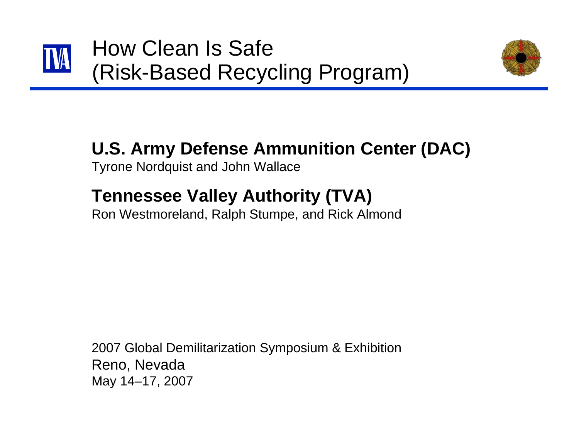





### **U.S. Army Defense Ammunition Center (DAC)**

Tyrone Nordquist and John Wallace

### **Tennessee Valley Authority (TVA)**

Ron Westmoreland, Ralph Stumpe, and Rick Almond

2007 Global Demilitarization Symposium & Exhibition Reno, Nevada May 14–17, 2007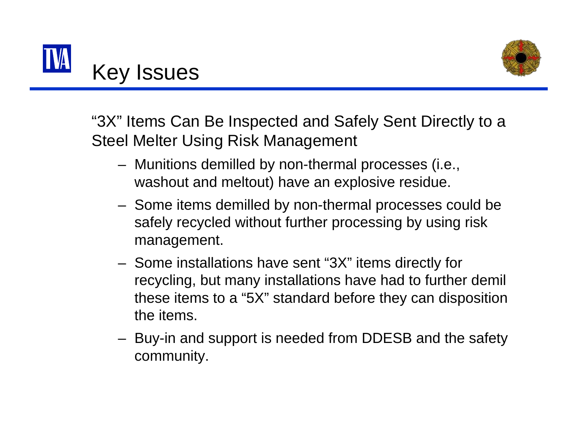



"3X" Items Can Be Inspected and Safely Sent Directly to a Steel Melter Using Risk Management

- – Munitions demilled by non-thermal processes (i.e., washout and meltout) have an explosive residue.
- – Some items demilled by non-thermal processes could be safely recycled without further processing by using risk management.
- – Some installations have sent "3X" items directly for recycling, but many installations have had to further demil these items to a "5X" standard before they can disposition the items.
- – Buy-in and support is needed from DDESB and the safety community.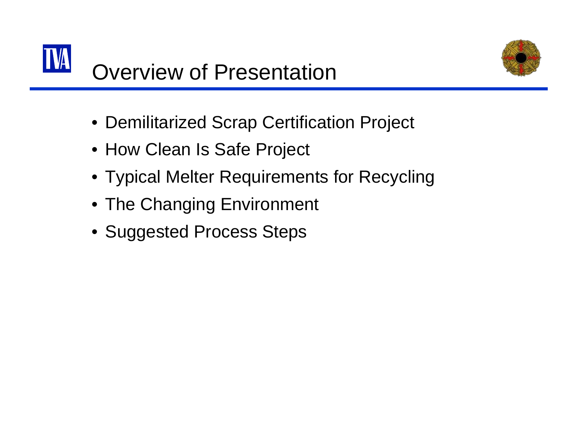



- Demilitarized Scrap Certification Project
- How Clean Is Safe Project
- Typical Melter Requirements for Recycling
- The Changing Environment
- Suggested Process Steps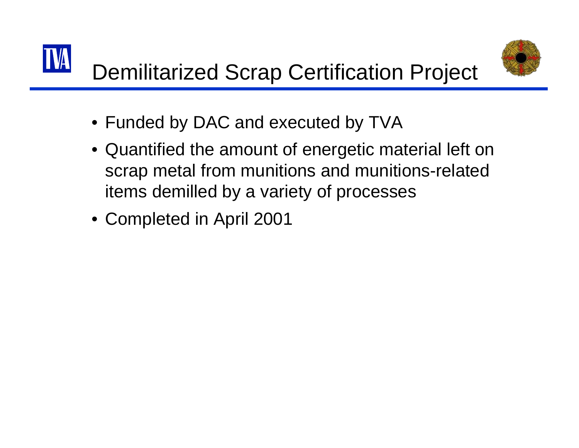# Demilitarized Scrap Certification Project



- Funded by DAC and executed by TVA
- Quantified the amount of energetic material left on scrap metal from munitions and munitions-related items demilled by a variety of processes
- Completed in April 2001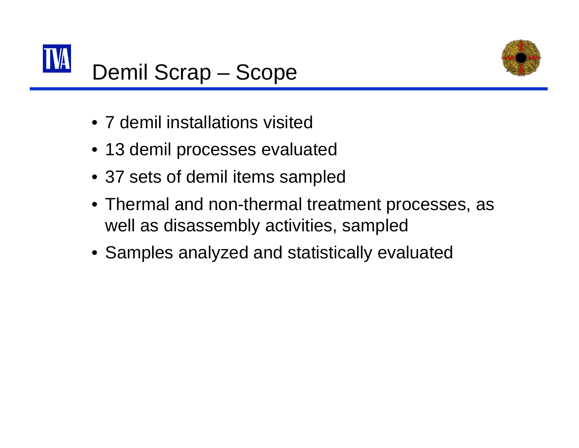



- 7 demil installations visited
- 13 demil processes evaluated
- 37 sets of demil items sampled
- Thermal and non-thermal treatment processes, as well as disassembly activities, sampled
- Samples analyzed and statistically evaluated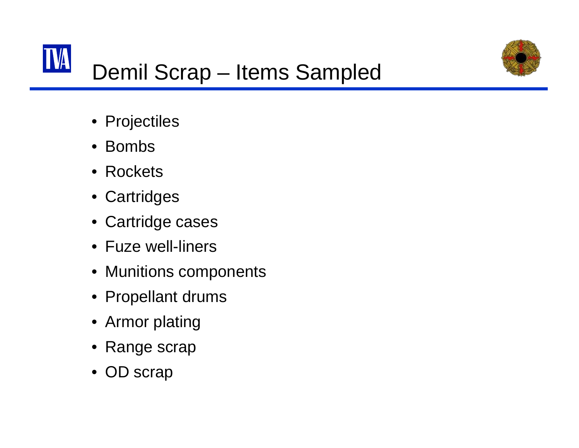

# Demil Scrap – Items Sampled

- Projectiles
- Bombs
- Rockets
- Cartridges
- Cartridge cases
- Fuze well-liners
- Munitions components
- Propellant drums
- Armor plating
- Range scrap
- OD scrap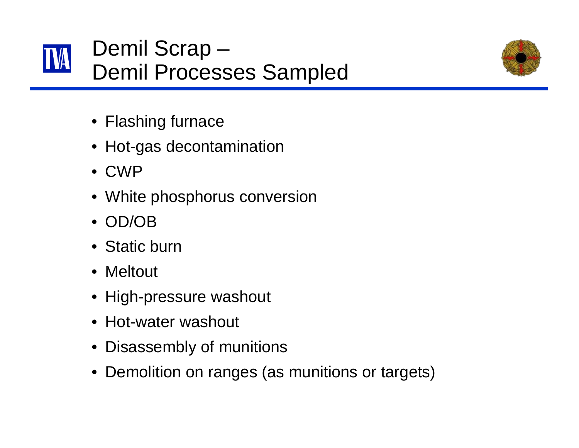



- Flashing furnace
- Hot-gas decontamination
- CWP
- White phosphorus conversion
- OD/OB
- Static burn
- Meltout
- High-pressure washout
- Hot-water washout
- Disassembly of munitions
- Demolition on ranges (as munitions or targets)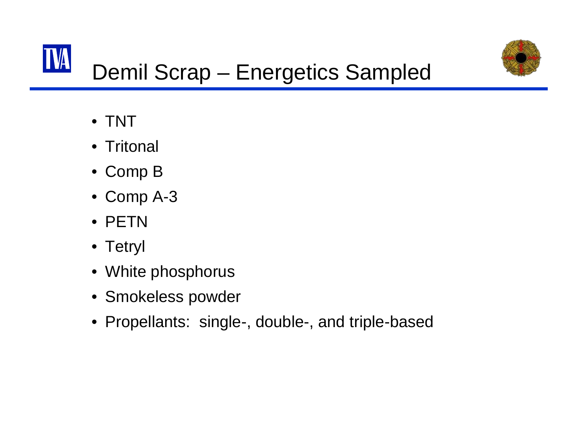

## Demil Scrap – Energetics Sampled

- TNT
- Tritonal
- Comp B
- Comp A-3
- PETN
- Tetryl
- White phosphorus
- Smokeless powder
- Propellants: single-, double-, and triple-based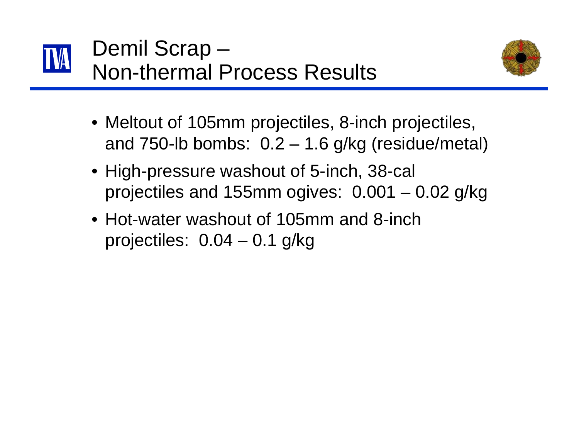



- Meltout of 105mm projectiles, 8-inch projectiles, and 750-lb bombs:  $0.2 - 1.6$  g/kg (residue/metal)
- High-pressure washout of 5-inch, 38-cal projectiles and 155mm ogives: 0.001 – 0.02 g/kg
- Hot-water washout of 105mm and 8-inch projectiles: 0.04 – 0.1 g/kg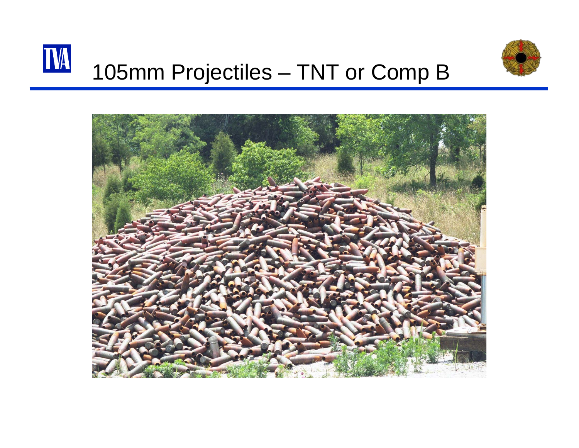



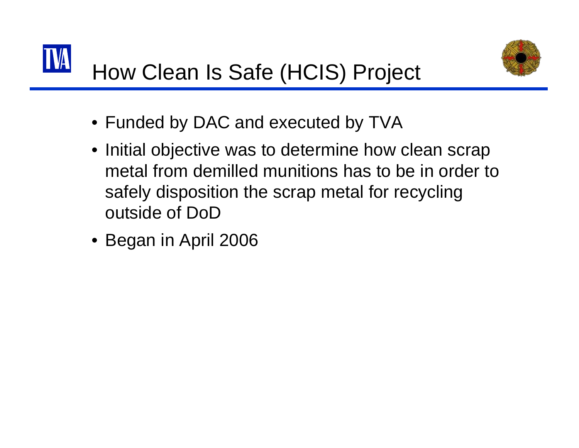



- Funded by DAC and executed by TVA
- Initial objective was to determine how clean scrap metal from demilled munitions has to be in order to safely disposition the scrap metal for recycling outside of DoD
- Began in April 2006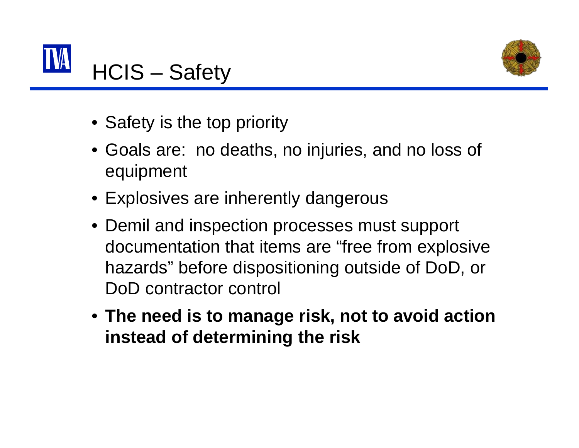



- Safety is the top priority
- Goals are: no deaths, no injuries, and no loss of equipment
- Explosives are inherently dangerous
- Demil and inspection processes must support documentation that items are "free from explosive hazards" before dispositioning outside of DoD, or DoD contractor control
- **The need is to manage risk, not to avoid action instead of determining the risk**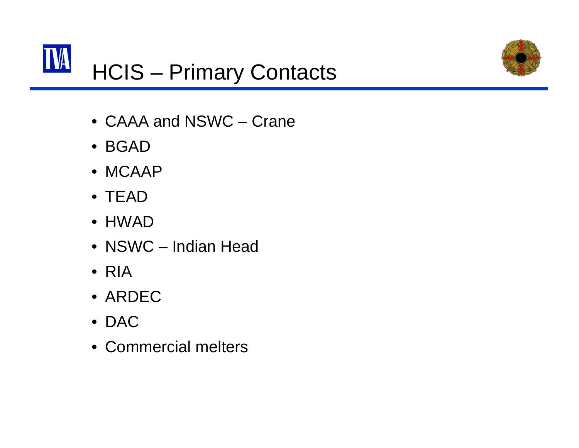



- CAAA and NSWC Crane
- BGAD
- MCAAP
- TEAD
- HWAD
- NSWC Indian Head
- RIA
- ARDEC
- DAC
- Commercial melters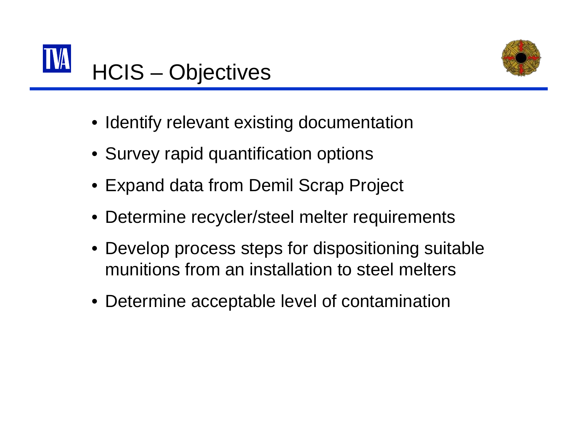



- Identify relevant existing documentation
- Survey rapid quantification options
- Expand data from Demil Scrap Project
- Determine recycler/steel melter requirements
- Develop process steps for dispositioning suitable munitions from an installation to steel melters
- Determine acceptable level of contamination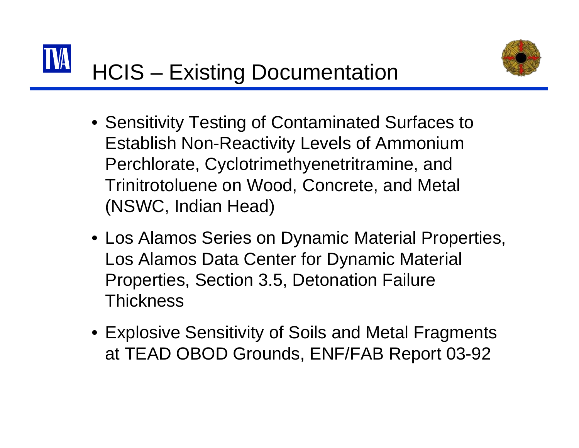

- Sensitivity Testing of Contaminated Surfaces to Establish Non-Reactivity Levels of Ammonium Perchlorate, Cyclotrimethyenetritramine, and Trinitrotoluene on Wood, Concrete, and Metal (NSWC, Indian Head)
- Los Alamos Series on Dynamic Material Properties, Los Alamos Data Center for Dynamic Material Properties, Section 3.5, Detonation Failure **Thickness**
- Explosive Sensitivity of Soils and Metal Fragments at TEAD OBOD Grounds, ENF/FAB Report 03-92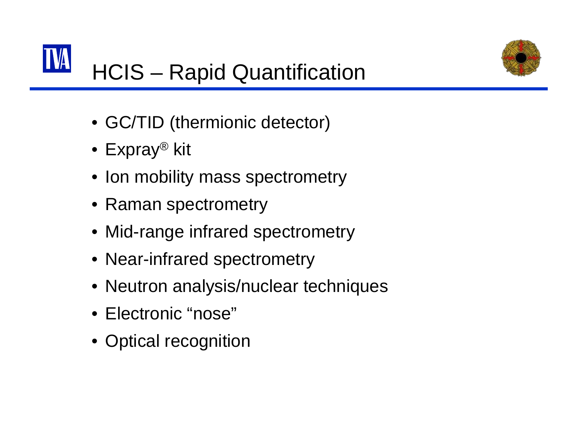

# HCIS – Rapid Quantification

- GC/TID (thermionic detector)
- $\bullet\,$  Expray® kit
- Ion mobility mass spectrometry
- Raman spectrometry
- Mid-range infrared spectrometry
- Near-infrared spectrometry
- Neutron analysis/nuclear techniques
- Electronic "nose"
- Optical recognition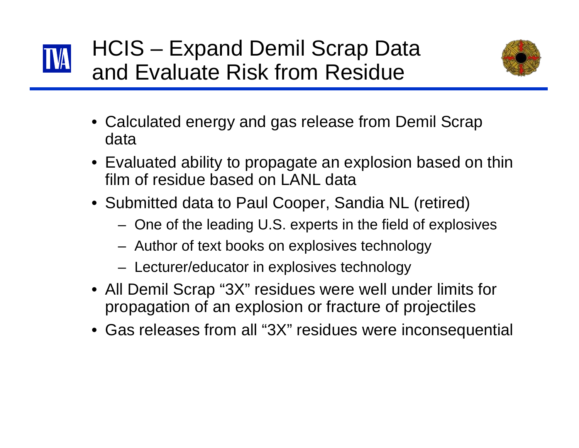



- Calculated energy and gas release from Demil Scrap data
- Evaluated ability to propagate an explosion based on thin film of residue based on LANL data
- Submitted data to Paul Cooper, Sandia NL (retired)
	- –One of the leading U.S. experts in the field of explosives
	- –Author of text books on explosives technology
	- –Lecturer/educator in explosives technology
- All Demil Scrap "3X" residues were well under limits for propagation of an explosion or fracture of projectiles
- Gas releases from all "3X" residues were inconsequential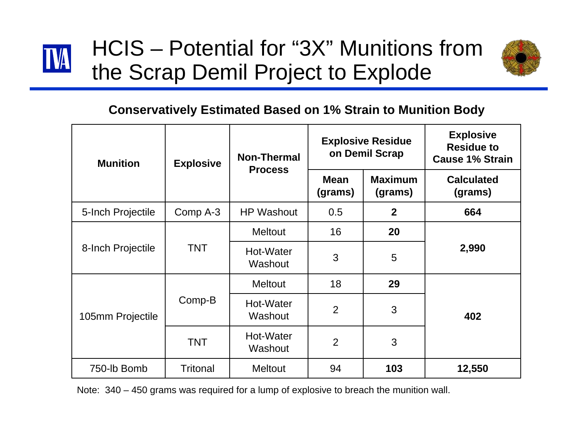

## HCIS – Potential for "3X" Munitions from the Scrap Demil Project to Explode



#### **Conservatively Estimated Based on 1% Strain to Munition Body**

| <b>Munition</b>   | <b>Explosive</b> | <b>Non-Thermal</b><br><b>Process</b> | <b>Explosive Residue</b><br>on Demil Scrap |                           | <b>Explosive</b><br><b>Residue to</b><br><b>Cause 1% Strain</b> |
|-------------------|------------------|--------------------------------------|--------------------------------------------|---------------------------|-----------------------------------------------------------------|
|                   |                  |                                      | <b>Mean</b><br>(grams)                     | <b>Maximum</b><br>(grams) | <b>Calculated</b><br>(grams)                                    |
| 5-Inch Projectile | Comp A-3         | <b>HP Washout</b>                    | 0.5                                        | $\mathbf{2}$              | 664                                                             |
| 8-Inch Projectile | <b>TNT</b>       | <b>Meltout</b>                       | 16                                         | 20                        | 2,990                                                           |
|                   |                  | Hot-Water<br>Washout                 | 3                                          | 5                         |                                                                 |
| 105mm Projectile  | Comp-B           | <b>Meltout</b>                       | 18                                         | 29                        | 402                                                             |
|                   |                  | Hot-Water<br>Washout                 | 2                                          | 3                         |                                                                 |
|                   | <b>TNT</b>       | Hot-Water<br>Washout                 | $\overline{2}$                             | 3                         |                                                                 |
| 750-lb Bomb       | <b>Tritonal</b>  | <b>Meltout</b>                       | 94                                         | 103                       | 12,550                                                          |

Note: 340 – 450 grams was required for a lump of explosive to breach the munition wall.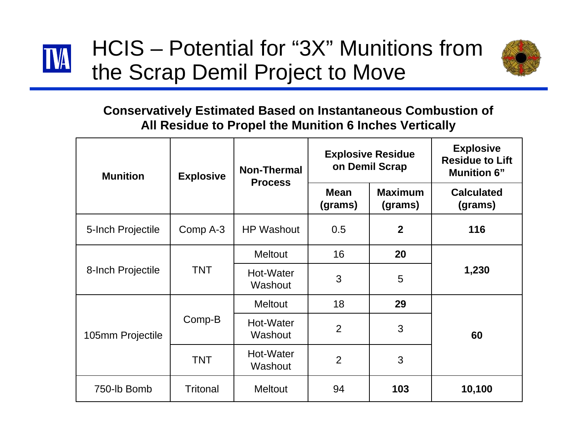

## HCIS – Potential for "3X" Munitions from the Scrap Demil Project to Move



#### **Conservatively Estimated Based on Instantaneous Combustion of All Residue to Propel the Munition 6 Inches Vertically**

| <b>Munition</b>   | <b>Explosive</b> | <b>Non-Thermal</b><br><b>Process</b> | <b>Explosive Residue</b><br>on Demil Scrap |                           | <b>Explosive</b><br><b>Residue to Lift</b><br><b>Munition 6"</b> |
|-------------------|------------------|--------------------------------------|--------------------------------------------|---------------------------|------------------------------------------------------------------|
|                   |                  |                                      | <b>Mean</b><br>(grams)                     | <b>Maximum</b><br>(grams) | <b>Calculated</b><br>(grams)                                     |
| 5-Inch Projectile | Comp A-3         | <b>HP Washout</b>                    | 0.5                                        | $\mathbf{2}$              | 116                                                              |
| 8-Inch Projectile | <b>TNT</b>       | <b>Meltout</b>                       | 16                                         | 20                        | 1,230                                                            |
|                   |                  | Hot-Water<br>Washout                 | 3                                          | 5                         |                                                                  |
| 105mm Projectile  | Comp-B           | <b>Meltout</b>                       | 18                                         | 29                        | 60                                                               |
|                   |                  | Hot-Water<br>Washout                 | $\overline{2}$                             | 3                         |                                                                  |
|                   | <b>TNT</b>       | Hot-Water<br>Washout                 | $\overline{2}$                             | 3                         |                                                                  |
| 750-lb Bomb       | <b>Tritonal</b>  | <b>Meltout</b>                       | 94                                         | 103                       | 10,100                                                           |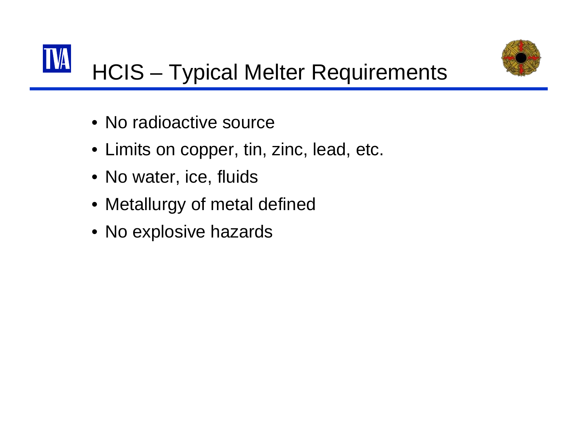



## HCIS – Typical Melter Requirements

- No radioactive source
- Limits on copper, tin, zinc, lead, etc.
- No water, ice, fluids
- Metallurgy of metal defined
- No explosive hazards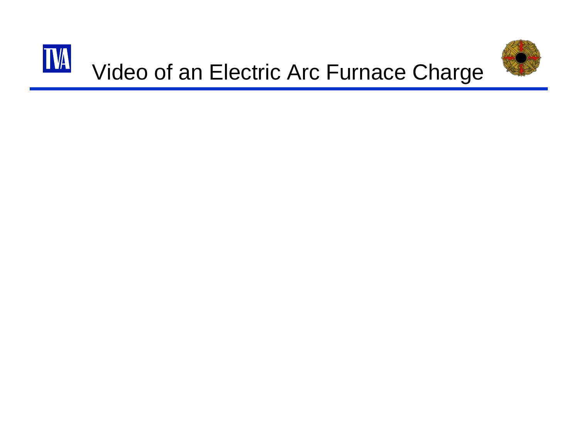

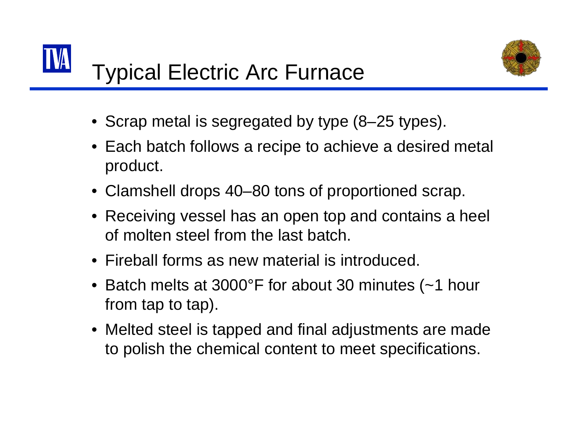



- Scrap metal is segregated by type (8–25 types).
- Each batch follows a recipe to achieve a desired metal product.
- Clamshell drops 40–80 tons of proportioned scrap.
- Receiving vessel has an open top and contains a heel of molten steel from the last batch.
- Fireball forms as new material is introduced.
- Batch melts at 3000°F for about 30 minutes (~1 hour from tap to tap).
- Melted steel is tapped and final adjustments are made to polish the chemical content to meet specifications.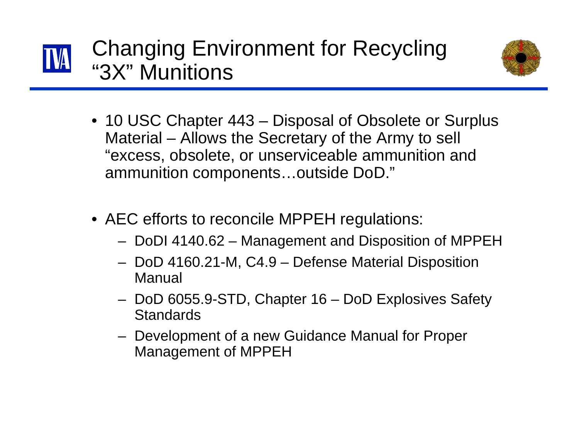



- 10 USC Chapter 443 Disposal of Obsolete or Surplus Material – Allows the Secretary of the Army to sell "excess, obsolete, or unserviceable ammunition and ammunition components…outside DoD."
- AEC efforts to reconcile MPPEH regulations:
	- –DoDI 4140.62 – Management and Disposition of MPPEH
	- – DoD 4160.21-M, C4.9 – Defense Material Disposition Manual
	- – DoD 6055.9-STD, Chapter 16 – DoD Explosives Safety **Standards**
	- – Development of a new Guidance Manual for Proper Management of MPPEH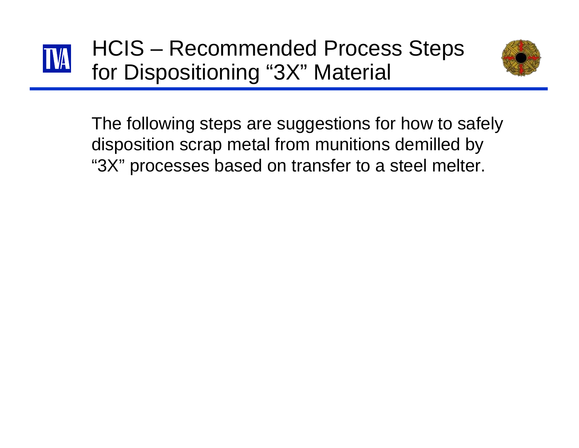

HCIS – Recommended Process Steps for Dispositioning "3X" Material



The following steps are suggestions for how to safely disposition scrap metal from munitions demilled by "3X" processes based on transfer to a steel melter.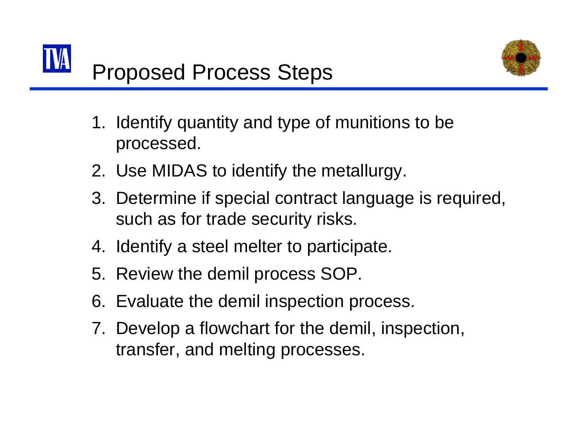



- 1. Identify quantity and type of munitions to be processed.
- 2. Use MIDAS to identify the metallurgy.
- 3. Determine if special contract language is required, such as for trade security risks.
- 4. Identify a steel melter to participate.
- 5. Review the demil process SOP.
- 6. Evaluate the demil inspection process.
- 7. Develop a flowchart for the demil, inspection, transfer, and melting processes.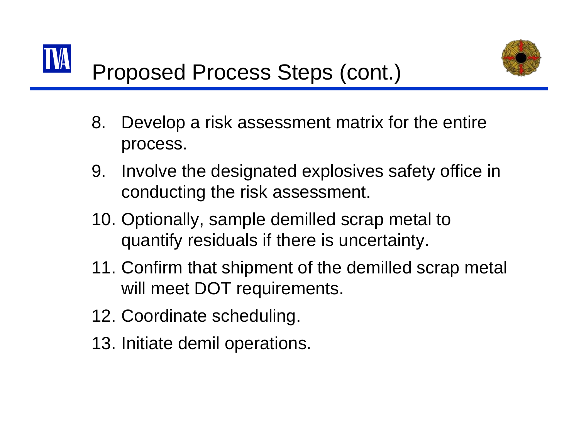

- 8. Develop a risk assessment matrix for the entire process.
- 9. Involve the designated explosives safety office in conducting the risk assessment.
- 10. Optionally, sample demilled scrap metal to quantify residuals if there is uncertainty.
- 11. Confirm that shipment of the demilled scrap metal will meet DOT requirements.
- 12. Coordinate scheduling.
- 13. Initiate demil operations.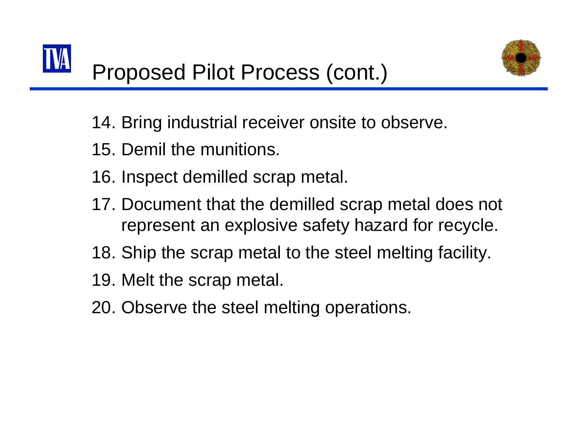

- 14. Bring industrial receiver onsite to observe.
- 15. Demil the munitions.
- 16. Inspect demilled scrap metal.
- 17. Document that the demilled scrap metal does not represent an explosive safety hazard for recycle.
- 18. Ship the scrap metal to the steel melting facility.
- 19. Melt the scrap metal.
- 20. Observe the steel melting operations.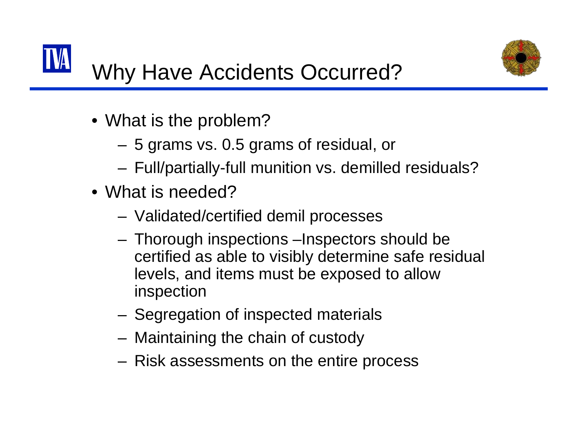

- What is the problem?
	- 5 grams vs. 0.5 grams of residual, or
	- **Links of the Company** Full/partially-full munition vs. demilled residuals?
- What is needed?
	- Validated/certified demil processes
	- Thorough inspections –Inspectors should be certified as able to visibly determine safe residual levels, and items must be exposed to allow inspection
	- Segregation of inspected materials
	- –Maintaining the chain of custody
	- Risk assessments on the entire process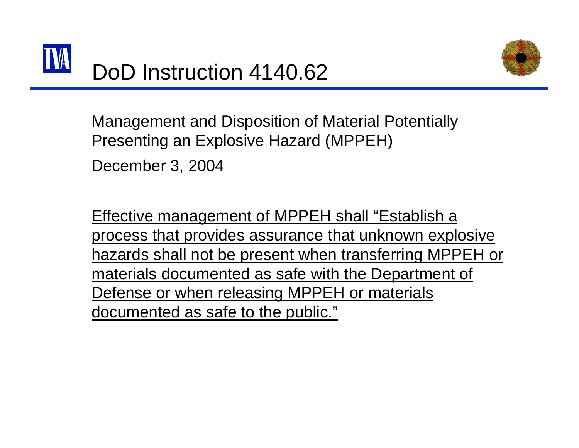

Management and Disposition of Material Potentially Presenting an Explosive Hazard (MPPEH)

December 3, 2004

Effective management of MPPEH shall "Establish a process that provides assurance that unknown explosive hazards shall not be present when transferring MPPEH or materials documented as safe with the Department of Defense or when releasing MPPEH or materials documented as safe to the public."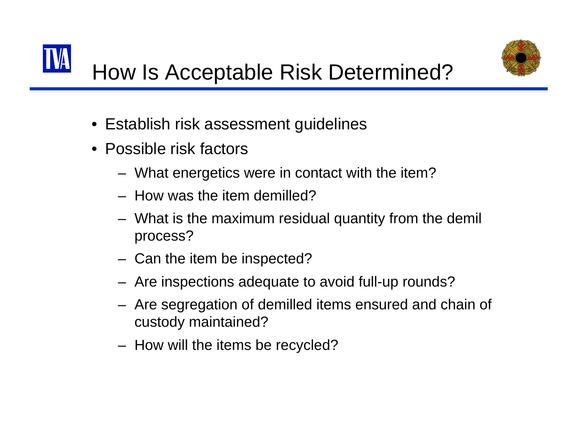



- Establish risk assessment guidelines
- Possible risk factors
	- –What energetics were in contact with the item?
	- How was the item demilled?
	- – What is the maximum residual quantity from the demil process?
	- –Can the item be inspected?
	- –Are inspections adequate to avoid full-up rounds?
	- – Are segregation of demilled items ensured and chain of custody maintained?
	- –How will the items be recycled?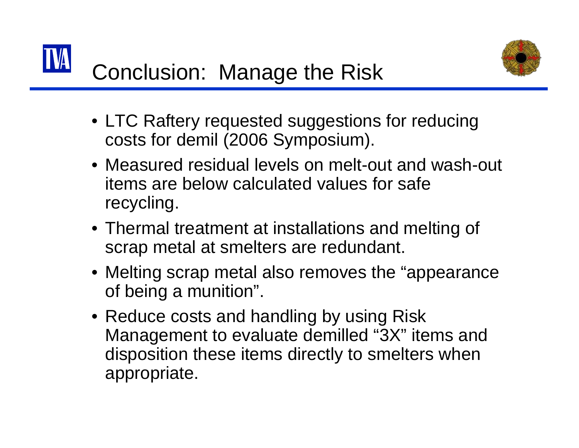



- LTC Raftery requested suggestions for reducing costs for demil (2006 Symposium).
- Measured residual levels on melt-out and wash-out items are below calculated values for safe recycling.
- Thermal treatment at installations and melting of scrap metal at smelters are redundant.
- Melting scrap metal also removes the "appearance of being a munition".
- Reduce costs and handling by using Risk Management to evaluate demilled "3X" items and disposition these items directly to smelters when appropriate.